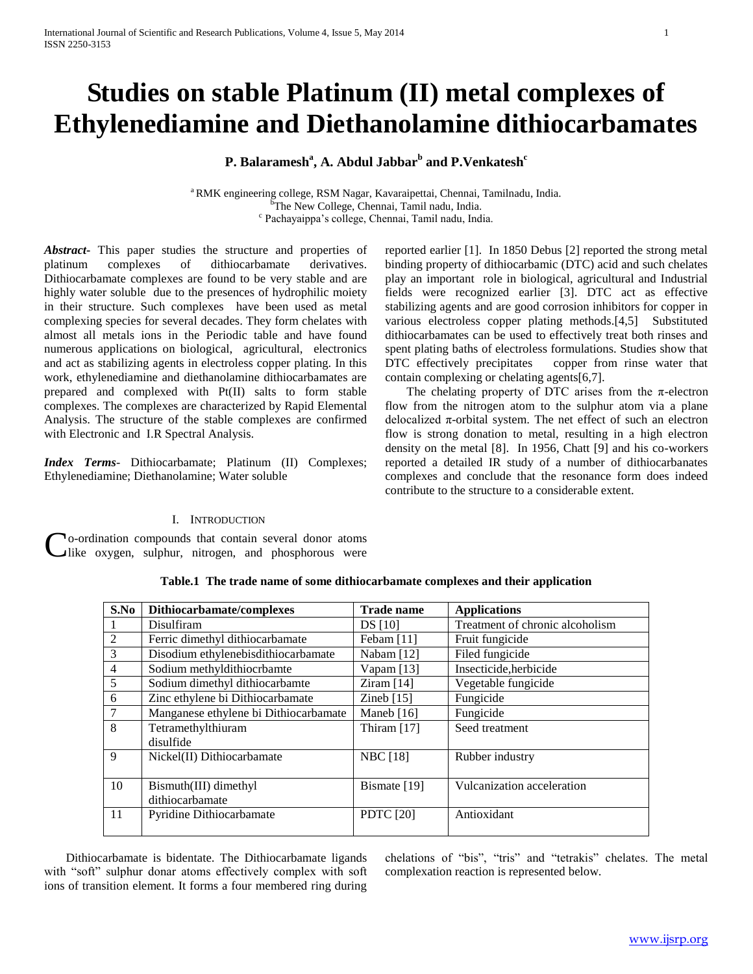# **Studies on stable Platinum (II) metal complexes of Ethylenediamine and Diethanolamine dithiocarbamates**

**P. Balaramesh<sup>a</sup> , A. Abdul Jabbar<sup>b</sup> and P.Venkatesh<sup>c</sup>**

<sup>a</sup>RMK engineering college, RSM Nagar, Kavaraipettai, Chennai, Tamilnadu, India. The New College, Chennai, Tamil nadu, India. c Pachayaippa's college, Chennai, Tamil nadu, India.

*Abstract***-** This paper studies the structure and properties of platinum complexes of dithiocarbamate derivatives. Dithiocarbamate complexes are found to be very stable and are highly water soluble due to the presences of hydrophilic moiety in their structure. Such complexes have been used as metal complexing species for several decades. They form chelates with almost all metals ions in the Periodic table and have found numerous applications on biological, agricultural, electronics and act as stabilizing agents in electroless copper plating. In this work, ethylenediamine and diethanolamine dithiocarbamates are prepared and complexed with Pt(II) salts to form stable complexes. The complexes are characterized by Rapid Elemental Analysis. The structure of the stable complexes are confirmed with Electronic and I.R Spectral Analysis.

*Index Terms*- Dithiocarbamate; Platinum (II) Complexes; Ethylenediamine; Diethanolamine; Water soluble

I. INTRODUCTION

o-ordination compounds that contain several donor atoms like oxygen, sulphur, nitrogen, and phosphorous were C

> **S.No Dithiocarbamate/complexes Trade name Applications** 1 Disulfiram DS [10] Treatment of chronic alcoholism 2 | Ferric dimethyl dithiocarbamate | Febam [11] | Fruit fungicide 3 | Disodium ethylenebisdithiocarbamate | Nabam [12] | Filed fungicide 4 Sodium methyldithiocrbamte Vapam [13] Insecticide,herbicide 5 Sodium dimethyl dithiocarbamte | Ziram [14] Vegetable fungicide 6 Zinc ethylene bi Dithiocarbamate Zineb [15] Fungicide 7 | Manganese ethylene bi Dithiocarbamate | Maneb [16] | Fungicide 8 Tetramethylthiuram disulfide Thiram [17] Seed treatment 9 | Nickel(II) Dithiocarbamate | NBC [18] | Rubber industry 10 Bismuth(III) dimethyl dithiocarbamate Bismate [19] Vulcanization acceleration 11 Pyridine Dithiocarbamate PDTC [20] Antioxidant

**Table.1 The trade name of some dithiocarbamate complexes and their application**

 Dithiocarbamate is bidentate. The Dithiocarbamate ligands with "soft" sulphur donar atoms effectively complex with soft ions of transition element. It forms a four membered ring during

chelations of "bis", "tris" and "tetrakis" chelates. The metal complexation reaction is represented below.

reported earlier [1]. In 1850 Debus [2] reported the strong metal binding property of dithiocarbamic (DTC) acid and such chelates play an important role in biological, agricultural and Industrial fields were recognized earlier [3]. DTC act as effective stabilizing agents and are good corrosion inhibitors for copper in various electroless copper plating methods.[4,5] Substituted dithiocarbamates can be used to effectively treat both rinses and spent plating baths of electroless formulations. Studies show that DTC effectively precipitates copper from rinse water that contain complexing or chelating agents[6,7].

The chelating property of DTC arises from the  $\pi$ -electron flow from the nitrogen atom to the sulphur atom via a plane delocalized  $\pi$ -orbital system. The net effect of such an electron flow is strong donation to metal, resulting in a high electron density on the metal [8]. In 1956, Chatt [9] and his co-workers reported a detailed IR study of a number of dithiocarbanates complexes and conclude that the resonance form does indeed contribute to the structure to a considerable extent.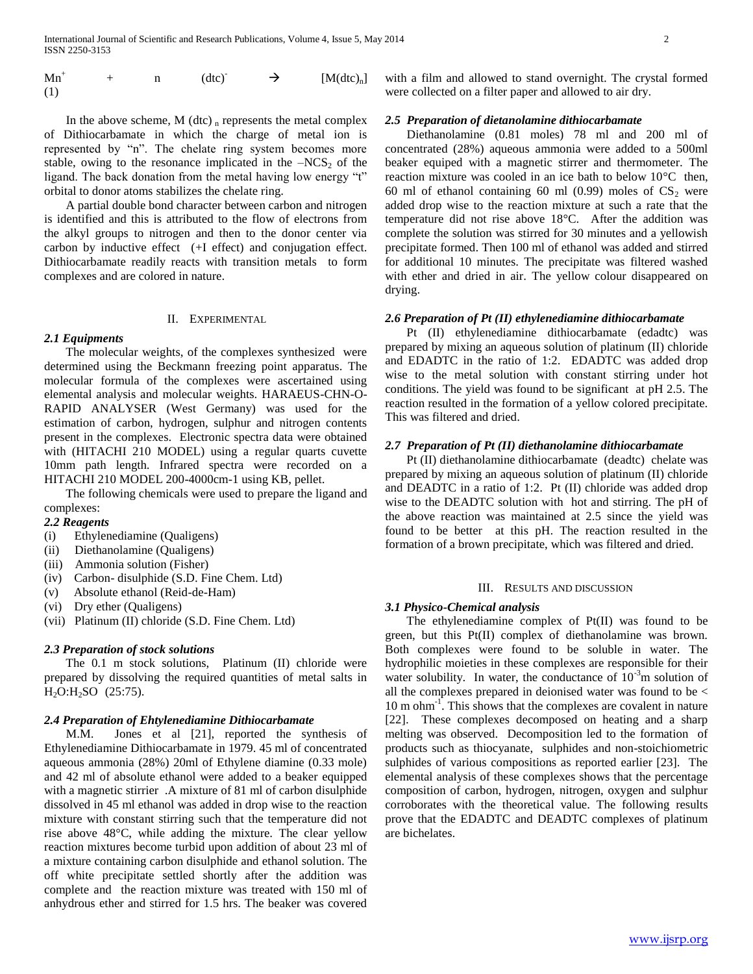$Mn^+$ n  $(dtc)^{\dagger} \rightarrow [M(dtc)_n]$ (1)

In the above scheme, M (dtc)  $<sub>n</sub>$  represents the metal complex</sub> of Dithiocarbamate in which the charge of metal ion is represented by "n". The chelate ring system becomes more stable, owing to the resonance implicated in the  $-NCS<sub>2</sub>$  of the ligand. The back donation from the metal having low energy "t" orbital to donor atoms stabilizes the chelate ring.

 A partial double bond character between carbon and nitrogen is identified and this is attributed to the flow of electrons from the alkyl groups to nitrogen and then to the donor center via carbon by inductive effect (+I effect) and conjugation effect. Dithiocarbamate readily reacts with transition metals to form complexes and are colored in nature.

## II. EXPERIMENTAL

#### *2.1 Equipments*

 The molecular weights, of the complexes synthesized were determined using the Beckmann freezing point apparatus. The molecular formula of the complexes were ascertained using elemental analysis and molecular weights. HARAEUS-CHN-O-RAPID ANALYSER (West Germany) was used for the estimation of carbon, hydrogen, sulphur and nitrogen contents present in the complexes. Electronic spectra data were obtained with (HITACHI 210 MODEL) using a regular quarts cuvette 10mm path length. Infrared spectra were recorded on a HITACHI 210 MODEL 200-4000cm-1 using KB, pellet.

 The following chemicals were used to prepare the ligand and complexes:

## *2.2 Reagents*

- (i) Ethylenediamine (Qualigens)
- (ii) Diethanolamine (Qualigens)
- (iii) Ammonia solution (Fisher)
- (iv) Carbon- disulphide (S.D. Fine Chem. Ltd)
- (v) Absolute ethanol (Reid-de-Ham)
- (vi) Dry ether (Qualigens)
- (vii) Platinum (II) chloride (S.D. Fine Chem. Ltd)

## *2.3 Preparation of stock solutions*

 The 0.1 m stock solutions, Platinum (II) chloride were prepared by dissolving the required quantities of metal salts in  $H_2O:H_2SO$  (25:75).

### *2.4 Preparation of Ehtylenediamine Dithiocarbamate*

 M.M. Jones et al [21], reported the synthesis of Ethylenediamine Dithiocarbamate in 1979. 45 ml of concentrated aqueous ammonia (28%) 20ml of Ethylene diamine (0.33 mole) and 42 ml of absolute ethanol were added to a beaker equipped with a magnetic stirrier .A mixture of 81 ml of carbon disulphide dissolved in 45 ml ethanol was added in drop wise to the reaction mixture with constant stirring such that the temperature did not rise above 48°C, while adding the mixture. The clear yellow reaction mixtures become turbid upon addition of about 23 ml of a mixture containing carbon disulphide and ethanol solution. The off white precipitate settled shortly after the addition was complete and the reaction mixture was treated with 150 ml of anhydrous ether and stirred for 1.5 hrs. The beaker was covered with a film and allowed to stand overnight. The crystal formed were collected on a filter paper and allowed to air dry.

## *2.5 Preparation of dietanolamine dithiocarbamate*

 Diethanolamine (0.81 moles) 78 ml and 200 ml of concentrated (28%) aqueous ammonia were added to a 500ml beaker equiped with a magnetic stirrer and thermometer. The reaction mixture was cooled in an ice bath to below 10°C then, 60 ml of ethanol containing 60 ml  $(0.99)$  moles of  $CS_2$  were added drop wise to the reaction mixture at such a rate that the temperature did not rise above 18°C. After the addition was complete the solution was stirred for 30 minutes and a yellowish precipitate formed. Then 100 ml of ethanol was added and stirred for additional 10 minutes. The precipitate was filtered washed with ether and dried in air. The yellow colour disappeared on drying.

## *2.6 Preparation of Pt (II) ethylenediamine dithiocarbamate*

 Pt (II) ethylenediamine dithiocarbamate (edadtc) was prepared by mixing an aqueous solution of platinum (II) chloride and EDADTC in the ratio of 1:2. EDADTC was added drop wise to the metal solution with constant stirring under hot conditions. The yield was found to be significant at pH 2.5. The reaction resulted in the formation of a yellow colored precipitate. This was filtered and dried.

## *2.7 Preparation of Pt (II) diethanolamine dithiocarbamate*

 Pt (II) diethanolamine dithiocarbamate (deadtc) chelate was prepared by mixing an aqueous solution of platinum (II) chloride and DEADTC in a ratio of 1:2. Pt (II) chloride was added drop wise to the DEADTC solution with hot and stirring. The pH of the above reaction was maintained at 2.5 since the yield was found to be better at this pH. The reaction resulted in the formation of a brown precipitate, which was filtered and dried.

#### III. RESULTS AND DISCUSSION

#### *3.1 Physico-Chemical analysis*

 The ethylenediamine complex of Pt(II) was found to be green, but this Pt(II) complex of diethanolamine was brown. Both complexes were found to be soluble in water. The hydrophilic moieties in these complexes are responsible for their water solubility. In water, the conductance of  $10^{-3}$ m solution of all the complexes prepared in deionised water was found to be < 10 m ohm<sup>-1</sup>. This shows that the complexes are covalent in nature [22]. These complexes decomposed on heating and a sharp melting was observed. Decomposition led to the formation of products such as thiocyanate, sulphides and non-stoichiometric sulphides of various compositions as reported earlier [23]. The elemental analysis of these complexes shows that the percentage composition of carbon, hydrogen, nitrogen, oxygen and sulphur corroborates with the theoretical value. The following results prove that the EDADTC and DEADTC complexes of platinum are bichelates.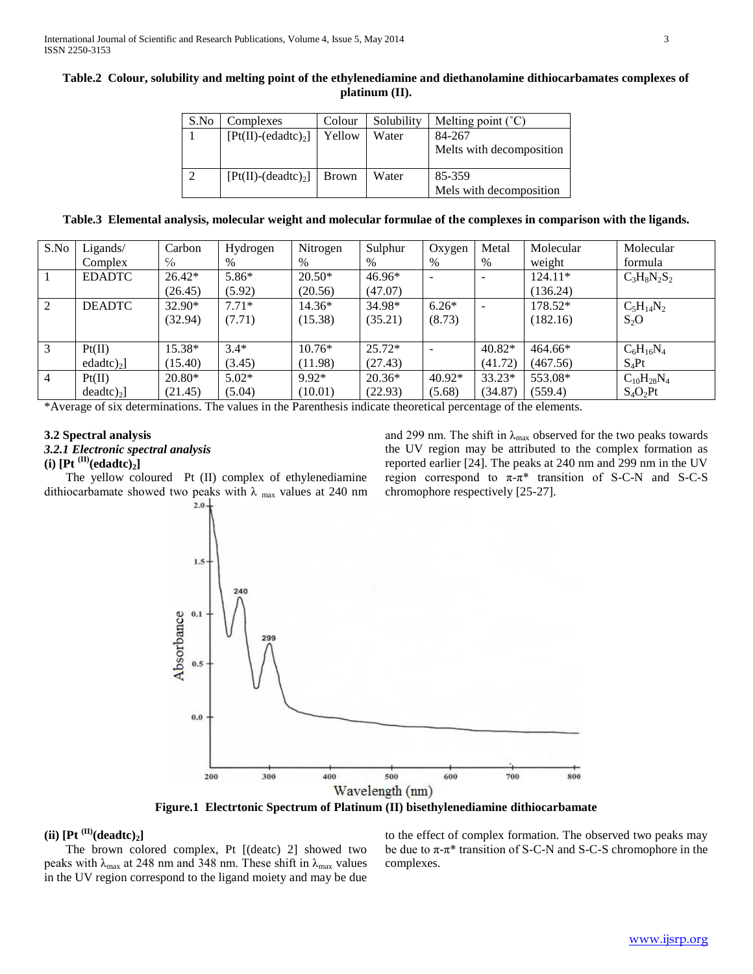| Table.2 Colour, solubility and melting point of the ethylenediamine and diethanolamine dithiocarbamates complexes of |
|----------------------------------------------------------------------------------------------------------------------|
| platinum (II).                                                                                                       |

| S.No | Complexes             | Colour       | Solubility | Melting point $(^{\circ}C)$ |
|------|-----------------------|--------------|------------|-----------------------------|
|      | $[Pt(II)-(edadtc)2]$  | Yellow       | Water      | 84-267                      |
|      |                       |              |            | Melts with decomposition    |
|      | $[Pt(II)-(deadtc)_2]$ | <b>Brown</b> | Water      | 85-359                      |
|      |                       |              |            | Mels with decomposition     |

**Table.3 Elemental analysis, molecular weight and molecular formulae of the complexes in comparison with the ligands.**

| S.No           | Ligands/               | Carbon   | Hydrogen | Nitrogen | Sulphur  | Oxygen                   | Metal    | Molecular | Molecular         |
|----------------|------------------------|----------|----------|----------|----------|--------------------------|----------|-----------|-------------------|
|                | Complex                | $\%$     | $\%$     | $\%$     | $\%$     | $\%$                     | $\%$     | weight    | formula           |
|                | <b>EDADTC</b>          | $26.42*$ | $5.86*$  | $20.50*$ | 46.96*   | $\overline{\phantom{0}}$ |          | 124.11*   | $C_3H_8N_2S_2$    |
|                |                        | (26.45)  | (5.92)   | (20.56)  | (47.07)  |                          |          | (136.24)  |                   |
| 2              | <b>DEADTC</b>          | 32.90*   | $7.71*$  | 14.36*   | 34.98*   | $6.26*$                  |          | 178.52*   | $C_5H_{14}N_2$    |
|                |                        | (32.94)  | (7.71)   | (15.38)  | (35.21)  | (8.73)                   |          | (182.16)  | $S_2O$            |
|                |                        |          |          |          |          |                          |          |           |                   |
| 3              | Pt(II)                 | 15.38*   | $3.4*$   | $10.76*$ | $25.72*$ |                          | $40.82*$ | $464.66*$ | $C_6H_{16}N_4$    |
|                | $edadtc)2$ ]           | (15.40)  | (3.45)   | (11.98)  | (27.43)  |                          | (41.72)  | (467.56)  | $S_4Pt$           |
| $\overline{4}$ | Pt(II)                 | $20.80*$ | $5.02*$  | $9.92*$  | $20.36*$ | $40.92*$                 | $33.23*$ | 553.08*   | $C_{10}H_{28}N_4$ |
|                | $deadtc)$ <sub>2</sub> | (21.45)  | (5.04)   | (10.01)  | (22.93)  | (5.68)                   | (34.87)  | (559.4)   | $S_4O_2Pt$        |

\*Average of six determinations. The values in the Parenthesis indicate theoretical percentage of the elements.

## **3.2 Spectral analysis**

## *3.2.1 Electronic spectral analysis*

# $(i)$   $[Pt^{(II)}(edadtc)]$

 The yellow coloured Pt (II) complex of ethylenediamine dithiocarbamate showed two peaks with  $\lambda$  max values at 240 nm  $2.0$ 

and 299 nm. The shift in  $\lambda_{\text{max}}$  observed for the two peaks towards the UV region may be attributed to the complex formation as reported earlier [24]. The peaks at 240 nm and 299 nm in the UV region correspond to  $\pi$ - $\pi$ <sup>\*</sup> transition of S-C-N and S-C-S chromophore respectively [25-27].



**Figure.1 Electrtonic Spectrum of Platinum (II) bisethylenediamine dithiocarbamate**

## $(iii)$   $[Pt^{(II)}(deadtc)_2]$

 The brown colored complex, Pt [(deatc) 2] showed two peaks with  $\lambda_{\text{max}}$  at 248 nm and 348 nm. These shift in  $\lambda_{\text{max}}$  values in the UV region correspond to the ligand moiety and may be due

to the effect of complex formation. The observed two peaks may be due to  $\pi$ - $\pi$ <sup>\*</sup> transition of S-C-N and S-C-S chromophore in the complexes.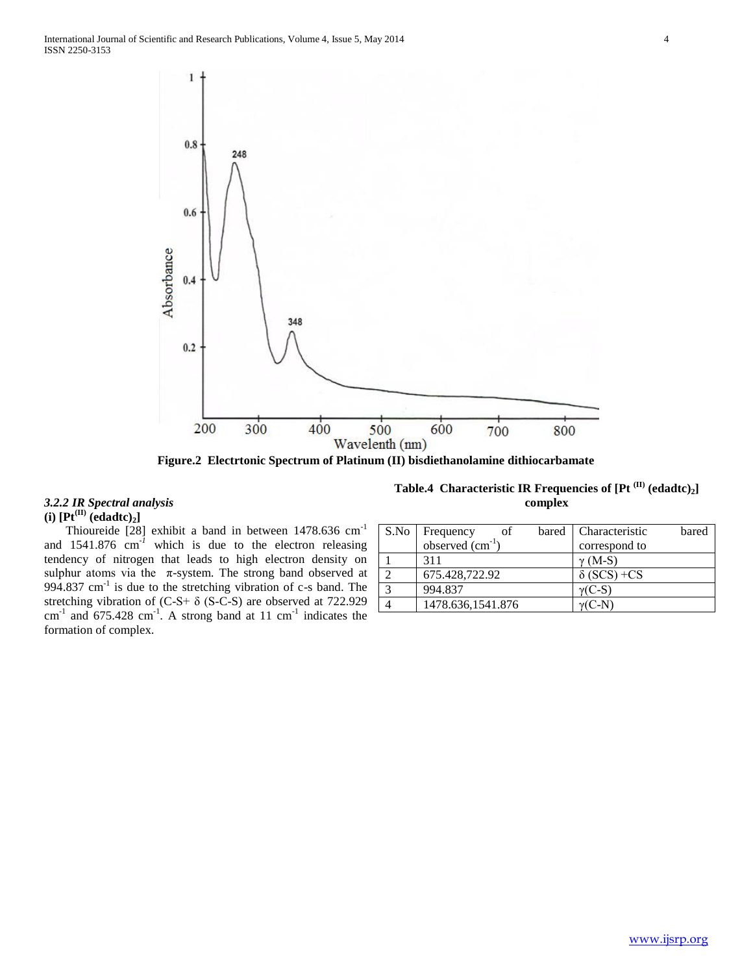

**Figure.2 Electrtonic Spectrum of Platinum (II) bisdiethanolamine dithiocarbamate**

## *3.2.2 IR Spectral analysis*   $(\mathbf{i})$   $[\mathbf{Pt}^{(\mathbf{II})}$   $(\mathbf{edadtc})_2]$

Thioureide [28] exhibit a band in between 1478.636 cm<sup>-1</sup> and  $1541.876$  cm<sup>-1</sup> which is due to the electron releasing tendency of nitrogen that leads to high electron density on sulphur atoms via the  $\pi$ -system. The strong band observed at 994.837 cm<sup>-1</sup> is due to the stretching vibration of c-s band. The stretching vibration of (C-S+ δ (S-C-S) are observed at 722.929  $\text{cm}^{-1}$  and 675.428  $\text{cm}^{-1}$ . A strong band at 11  $\text{cm}^{-1}$  indicates the formation of complex.

**Table.4 Characteristic IR Frequencies of [Pt (II) (edadtc)2] complex**

| S.No                    | οf<br>Frequency      | bared | Characteristic     | bared |
|-------------------------|----------------------|-------|--------------------|-------|
|                         | observed $(cm^{-1})$ |       | correspond to      |       |
|                         | 311                  |       | $\gamma$ (M-S)     |       |
|                         | 675.428,722.92       |       | $\delta$ (SCS) +CS |       |
| $\overline{\mathbf{3}}$ | 994.837              |       | $\gamma$ (C-S)     |       |
|                         | 1478.636,1541.876    |       | $v(C-N)$           |       |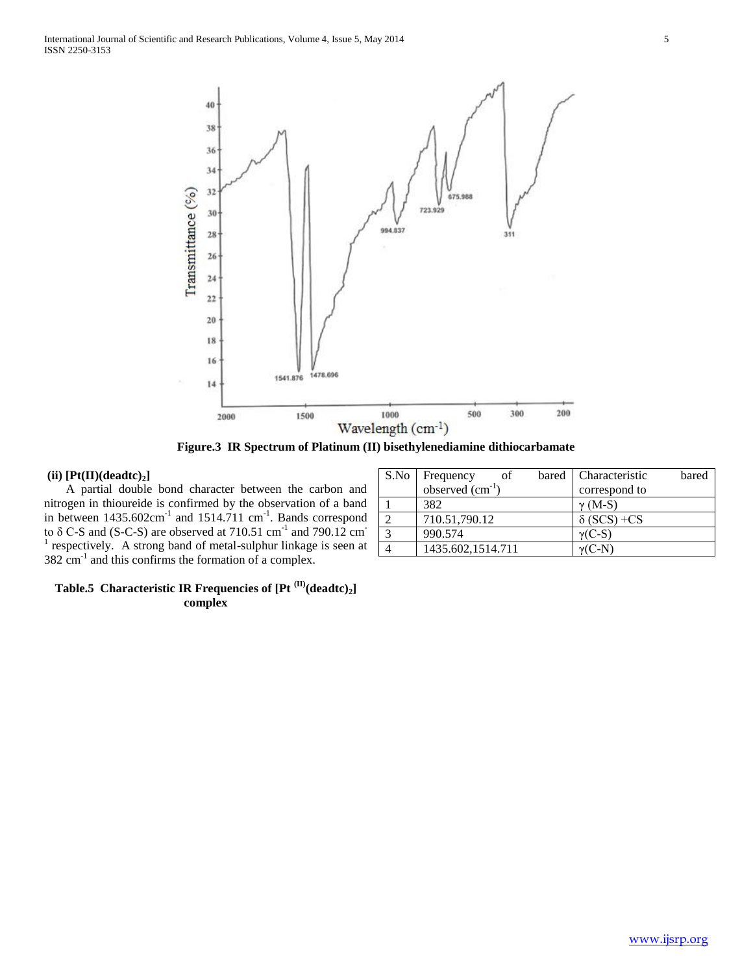

**Figure.3 IR Spectrum of Platinum (II) bisethylenediamine dithiocarbamate**

## **(ii) [Pt(II)(deadtc)2]**

 A partial double bond character between the carbon and nitrogen in thioureide is confirmed by the observation of a band in between  $1435.602 \text{cm}^{-1}$  and  $1514.711 \text{cm}^{-1}$ . Bands correspond to  $\delta$  C-S and (S-C-S) are observed at 710.51 cm<sup>-1</sup> and 790.12 cm<sup>-1</sup>  $<sup>1</sup>$  respectively. A strong band of metal-sulphur linkage is seen at</sup>  $382 \text{ cm}^{-1}$  and this confirms the formation of a complex.

| S.No         | Frequency<br>of      | bared   Characteristic | bared |
|--------------|----------------------|------------------------|-------|
|              | observed $(cm^{-1})$ | correspond to          |       |
|              | 382                  | $\gamma$ (M-S)         |       |
|              | 710.51,790.12        | $\delta$ (SCS) +CS     |       |
| $\mathbf{z}$ | 990.574              | $\gamma$ (C-S)         |       |
|              | 1435.602,1514.711    | $\gamma$ (C-N)         |       |

## **Table.5 Characteristic IR Frequencies of [Pt (II)(deadtc)2] complex**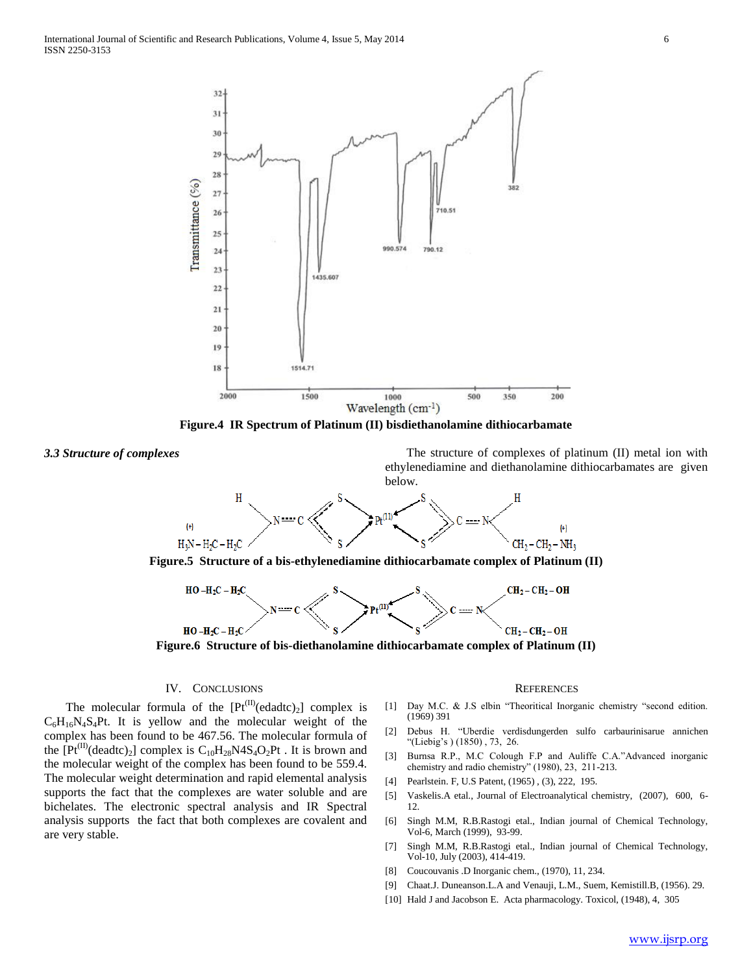

**Figure.4 IR Spectrum of Platinum (II) bisdiethanolamine dithiocarbamate**

**3.3 Structure of complexes** The structure of complexes of platinum (II) metal ion with ethylenediamine and diethanolamine dithiocarbamates are given below.





 $HO - H_2C - H_2C$  $CH_2-CH_2-OH$  $CH<sub>2</sub>-CH<sub>2</sub>-OH$  $HO - H_2C - H_2C$ **Figure.6 Structure of bis-diethanolamine dithiocarbamate complex of Platinum (II)**

## IV. CONCLUSIONS

The molecular formula of the  $[Pt^{(II)}(edadtc)_2]$  complex is  $C_6H_{16}N_4S_4Pt$ . It is yellow and the molecular weight of the complex has been found to be 467.56. The molecular formula of the  $[Pt^{(II)}$ (deadtc)<sub>2</sub>] complex is C<sub>10</sub>H<sub>28</sub>N4S<sub>4</sub>O<sub>2</sub>Pt . It is brown and the molecular weight of the complex has been found to be 559.4. The molecular weight determination and rapid elemental analysis supports the fact that the complexes are water soluble and are bichelates. The electronic spectral analysis and IR Spectral analysis supports the fact that both complexes are covalent and are very stable.

### **REFERENCES**

- [1] Day M.C. & J.S elbin "Theoritical Inorganic chemistry "second edition. (1969) 391
- [2] Debus H. "Uberdie verdisdungerden sulfo carbaurinisarue annichen "(Liebig's ) (1850) , 73, 26.
- [3] Burnsa R.P., M.C Colough F.P and Auliffe C.A."Advanced inorganic chemistry and radio chemistry" (1980), 23, 211-213.
- [4] Pearlstein. F, U.S Patent, (1965) , (3), 222, 195.
- [5] Vaskelis.A etal., Journal of Electroanalytical chemistry, (2007), 600, 6- 12.
- [6] Singh M.M, R.B.Rastogi etal., Indian journal of Chemical Technology, Vol-6, March (1999), 93-99.
- [7] Singh M.M, R.B.Rastogi etal., Indian journal of Chemical Technology, Vol-10, July (2003), 414-419.
- [8] Coucouvanis .D Inorganic chem., (1970), 11, 234.
- [9] Chaat.J. Duneanson.L.A and Venauji, L.M., Suem, Kemistill.B, (1956). 29.
- [10] Hald J and Jacobson E. Acta pharmacology. Toxicol, (1948), 4, 305